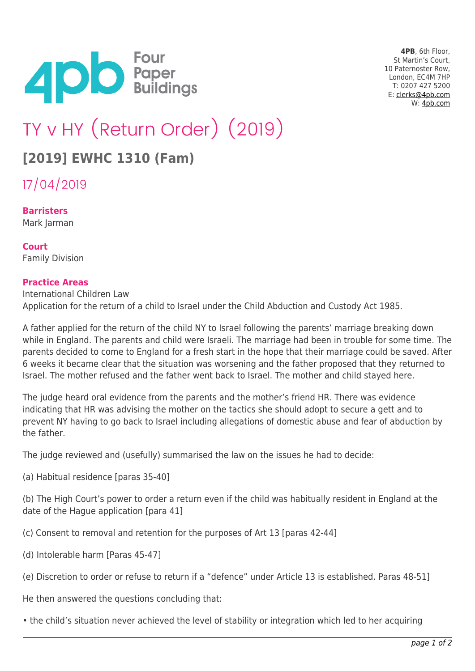

**4PB**, 6th Floor, St Martin's Court, 10 Paternoster Row, London, EC4M 7HP T: 0207 427 5200 E: [clerks@4pb.com](mailto:clerks@4pb.com) W: [4pb.com](http://4pb.com)

## TY v HY (Return Order) (2019)

## **[2019] EWHC 1310 (Fam)**

17/04/2019

**Barristers** Mark Jarman

**Court** Family Division

## **Practice Areas**

International Children Law Application for the return of a child to Israel under the Child Abduction and Custody Act 1985.

A father applied for the return of the child NY to Israel following the parents' marriage breaking down while in England. The parents and child were Israeli. The marriage had been in trouble for some time. The parents decided to come to England for a fresh start in the hope that their marriage could be saved. After 6 weeks it became clear that the situation was worsening and the father proposed that they returned to Israel. The mother refused and the father went back to Israel. The mother and child stayed here.

The judge heard oral evidence from the parents and the mother's friend HR. There was evidence indicating that HR was advising the mother on the tactics she should adopt to secure a gett and to prevent NY having to go back to Israel including allegations of domestic abuse and fear of abduction by the father.

The judge reviewed and (usefully) summarised the law on the issues he had to decide:

(a) Habitual residence [paras 35-40]

(b) The High Court's power to order a return even if the child was habitually resident in England at the date of the Hague application [para 41]

(c) Consent to removal and retention for the purposes of Art 13 [paras 42-44]

- (d) Intolerable harm [Paras 45-47]
- (e) Discretion to order or refuse to return if a "defence" under Article 13 is established. Paras 48-51]

He then answered the questions concluding that:

• the child's situation never achieved the level of stability or integration which led to her acquiring